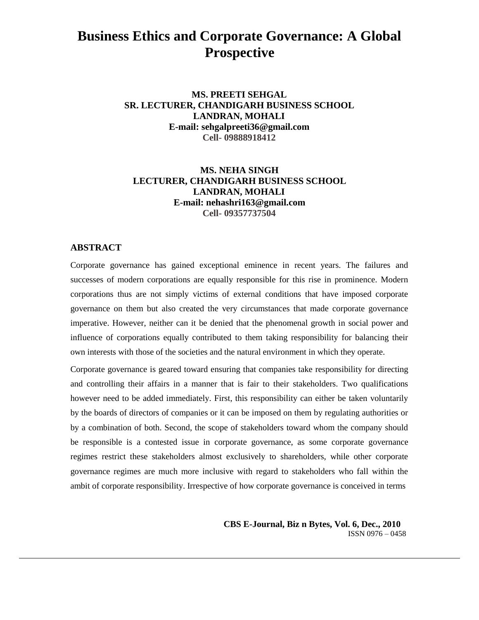# **Business Ethics and Corporate Governance: A Global Prospective**

# **MS. PREETI SEHGAL SR. LECTURER, CHANDIGARH BUSINESS SCHOOL LANDRAN, MOHALI E-mail: sehgalpreeti36@gmail.com Cell- 09888918412**

# **MS. NEHA SINGH LECTURER, CHANDIGARH BUSINESS SCHOOL LANDRAN, MOHALI E-mail: nehashri163@gmail.com Cell- 09357737504**

## **ABSTRACT**

Corporate governance has gained exceptional eminence in recent years. The failures and successes of modern corporations are equally responsible for this rise in prominence. Modern corporations thus are not simply victims of external conditions that have imposed corporate governance on them but also created the very circumstances that made corporate governance imperative. However, neither can it be denied that the phenomenal growth in social power and influence of corporations equally contributed to them taking responsibility for balancing their own interests with those of the societies and the natural environment in which they operate.

Corporate governance is geared toward ensuring that companies take responsibility for directing and controlling their affairs in a manner that is fair to their stakeholders. Two qualifications however need to be added immediately. First, this responsibility can either be taken voluntarily by the boards of directors of companies or it can be imposed on them by regulating authorities or by a combination of both. Second, the scope of stakeholders toward whom the company should be responsible is a contested issue in corporate governance, as some corporate governance regimes restrict these stakeholders almost exclusively to shareholders, while other corporate governance regimes are much more inclusive with regard to stakeholders who fall within the ambit of corporate responsibility. Irrespective of how corporate governance is conceived in terms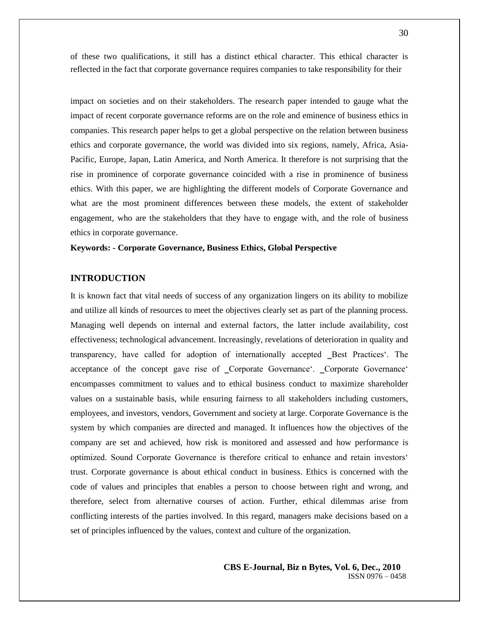of these two qualifications, it still has a distinct ethical character. This ethical character is reflected in the fact that corporate governance requires companies to take responsibility for their

impact on societies and on their stakeholders. The research paper intended to gauge what the impact of recent corporate governance reforms are on the role and eminence of business ethics in companies. This research paper helps to get a global perspective on the relation between business ethics and corporate governance, the world was divided into six regions, namely, Africa, Asia-Pacific, Europe, Japan, Latin America, and North America. It therefore is not surprising that the rise in prominence of corporate governance coincided with a rise in prominence of business ethics. With this paper, we are highlighting the different models of Corporate Governance and what are the most prominent differences between these models, the extent of stakeholder engagement, who are the stakeholders that they have to engage with, and the role of business ethics in corporate governance.

#### **Keywords: - Corporate Governance, Business Ethics, Global Perspective**

## **INTRODUCTION**

It is known fact that vital needs of success of any organization lingers on its ability to mobilize and utilize all kinds of resources to meet the objectives clearly set as part of the planning process. Managing well depends on internal and external factors, the latter include availability, cost effectiveness; technological advancement. Increasingly, revelations of deterioration in quality and transparency, have called for adoption of internationally accepted Best Practices'. The acceptance of the concept gave rise of \_Corporate Governance'. \_Corporate Governance' encompasses commitment to values and to ethical business conduct to maximize shareholder values on a sustainable basis, while ensuring fairness to all stakeholders including customers, employees, and investors, vendors, Government and society at large. Corporate Governance is the system by which companies are directed and managed. It influences how the objectives of the company are set and achieved, how risk is monitored and assessed and how performance is optimized. Sound Corporate Governance is therefore critical to enhance and retain investors' trust. Corporate governance is about ethical conduct in business. Ethics is concerned with the code of values and principles that enables a person to choose between right and wrong, and therefore, select from alternative courses of action. Further, ethical dilemmas arise from conflicting interests of the parties involved. In this regard, managers make decisions based on a set of principles influenced by the values, context and culture of the organization.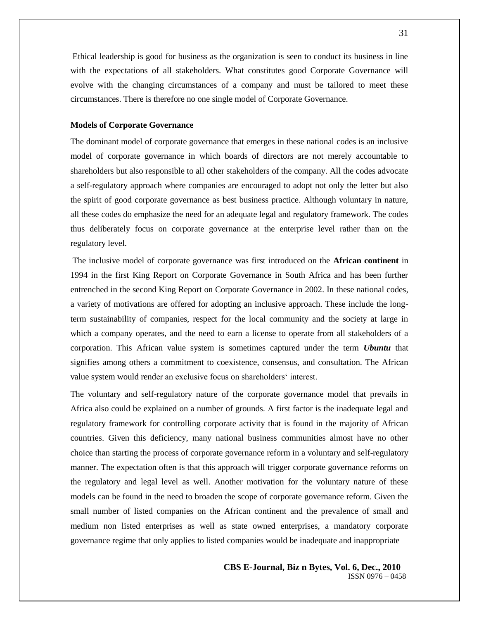Ethical leadership is good for business as the organization is seen to conduct its business in line with the expectations of all stakeholders. What constitutes good Corporate Governance will evolve with the changing circumstances of a company and must be tailored to meet these circumstances. There is therefore no one single model of Corporate Governance.

#### **Models of Corporate Governance**

The dominant model of corporate governance that emerges in these national codes is an inclusive model of corporate governance in which boards of directors are not merely accountable to shareholders but also responsible to all other stakeholders of the company. All the codes advocate a self-regulatory approach where companies are encouraged to adopt not only the letter but also the spirit of good corporate governance as best business practice. Although voluntary in nature, all these codes do emphasize the need for an adequate legal and regulatory framework. The codes thus deliberately focus on corporate governance at the enterprise level rather than on the regulatory level.

The inclusive model of corporate governance was first introduced on the **African continent** in 1994 in the first King Report on Corporate Governance in South Africa and has been further entrenched in the second King Report on Corporate Governance in 2002. In these national codes, a variety of motivations are offered for adopting an inclusive approach. These include the longterm sustainability of companies, respect for the local community and the society at large in which a company operates, and the need to earn a license to operate from all stakeholders of a corporation. This African value system is sometimes captured under the term *Ubuntu* that signifies among others a commitment to coexistence, consensus, and consultation. The African value system would render an exclusive focus on shareholders' interest.

The voluntary and self-regulatory nature of the corporate governance model that prevails in Africa also could be explained on a number of grounds. A first factor is the inadequate legal and regulatory framework for controlling corporate activity that is found in the majority of African countries. Given this deficiency, many national business communities almost have no other choice than starting the process of corporate governance reform in a voluntary and self-regulatory manner. The expectation often is that this approach will trigger corporate governance reforms on the regulatory and legal level as well. Another motivation for the voluntary nature of these models can be found in the need to broaden the scope of corporate governance reform. Given the small number of listed companies on the African continent and the prevalence of small and medium non listed enterprises as well as state owned enterprises, a mandatory corporate governance regime that only applies to listed companies would be inadequate and inappropriate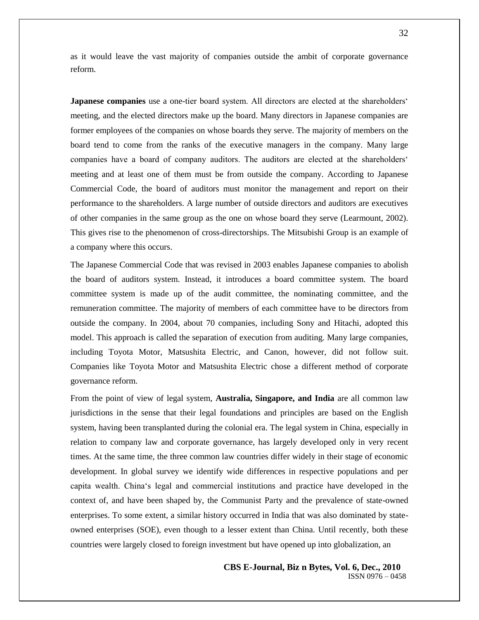as it would leave the vast majority of companies outside the ambit of corporate governance reform.

**Japanese companies** use a one-tier board system. All directors are elected at the shareholders' meeting, and the elected directors make up the board. Many directors in Japanese companies are former employees of the companies on whose boards they serve. The majority of members on the board tend to come from the ranks of the executive managers in the company. Many large companies have a board of company auditors. The auditors are elected at the shareholders' meeting and at least one of them must be from outside the company. According to Japanese Commercial Code, the board of auditors must monitor the management and report on their performance to the shareholders. A large number of outside directors and auditors are executives of other companies in the same group as the one on whose board they serve (Learmount, 2002). This gives rise to the phenomenon of cross-directorships. The Mitsubishi Group is an example of a company where this occurs.

The Japanese Commercial Code that was revised in 2003 enables Japanese companies to abolish the board of auditors system. Instead, it introduces a board committee system. The board committee system is made up of the audit committee, the nominating committee, and the remuneration committee. The majority of members of each committee have to be directors from outside the company. In 2004, about 70 companies, including Sony and Hitachi, adopted this model. This approach is called the separation of execution from auditing. Many large companies, including Toyota Motor, Matsushita Electric, and Canon, however, did not follow suit. Companies like Toyota Motor and Matsushita Electric chose a different method of corporate governance reform.

From the point of view of legal system, **Australia, Singapore, and India** are all common law jurisdictions in the sense that their legal foundations and principles are based on the English system, having been transplanted during the colonial era. The legal system in China, especially in relation to company law and corporate governance, has largely developed only in very recent times. At the same time, the three common law countries differ widely in their stage of economic development. In global survey we identify wide differences in respective populations and per capita wealth. China's legal and commercial institutions and practice have developed in the context of, and have been shaped by, the Communist Party and the prevalence of state-owned enterprises. To some extent, a similar history occurred in India that was also dominated by stateowned enterprises (SOE), even though to a lesser extent than China. Until recently, both these countries were largely closed to foreign investment but have opened up into globalization, an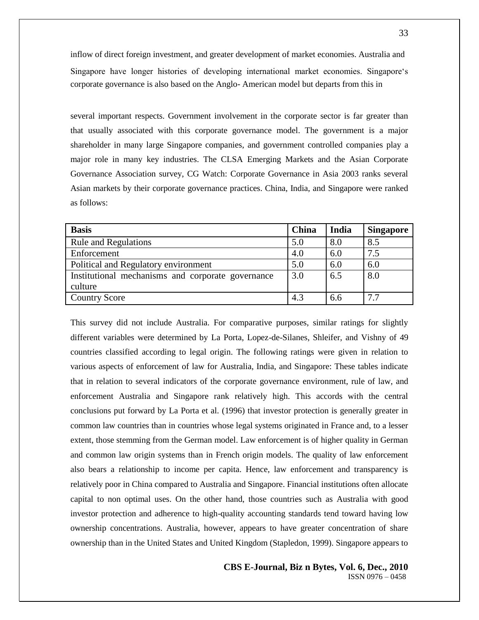inflow of direct foreign investment, and greater development of market economies. Australia and Singapore have longer histories of developing international market economies. Singapore's corporate governance is also based on the Anglo- American model but departs from this in

several important respects. Government involvement in the corporate sector is far greater than that usually associated with this corporate governance model. The government is a major shareholder in many large Singapore companies, and government controlled companies play a major role in many key industries. The CLSA Emerging Markets and the Asian Corporate Governance Association survey, CG Watch: Corporate Governance in Asia 2003 ranks several Asian markets by their corporate governance practices. China, India, and Singapore were ranked as follows:

| <b>Basis</b>                                                 | China | India | <b>Singapore</b> |
|--------------------------------------------------------------|-------|-------|------------------|
| <b>Rule and Regulations</b>                                  | 5.0   | 8.0   | 8.5              |
| Enforcement                                                  | 4.0   | 6.0   | 7.5              |
| Political and Regulatory environment                         | 5.0   | 6.0   | 6.0              |
| Institutional mechanisms and corporate governance<br>culture | 3.0   | 6.5   | 8.0              |
| <b>Country Score</b>                                         | 4.3   | 6.6   | 7.7              |

This survey did not include Australia. For comparative purposes, similar ratings for slightly different variables were determined by La Porta, Lopez-de-Silanes, Shleifer, and Vishny of 49 countries classified according to legal origin. The following ratings were given in relation to various aspects of enforcement of law for Australia, India, and Singapore: These tables indicate that in relation to several indicators of the corporate governance environment, rule of law, and enforcement Australia and Singapore rank relatively high. This accords with the central conclusions put forward by La Porta et al. (1996) that investor protection is generally greater in common law countries than in countries whose legal systems originated in France and, to a lesser extent, those stemming from the German model. Law enforcement is of higher quality in German and common law origin systems than in French origin models. The quality of law enforcement also bears a relationship to income per capita. Hence, law enforcement and transparency is relatively poor in China compared to Australia and Singapore. Financial institutions often allocate capital to non optimal uses. On the other hand, those countries such as Australia with good investor protection and adherence to high-quality accounting standards tend toward having low ownership concentrations. Australia, however, appears to have greater concentration of share ownership than in the United States and United Kingdom (Stapledon, 1999). Singapore appears to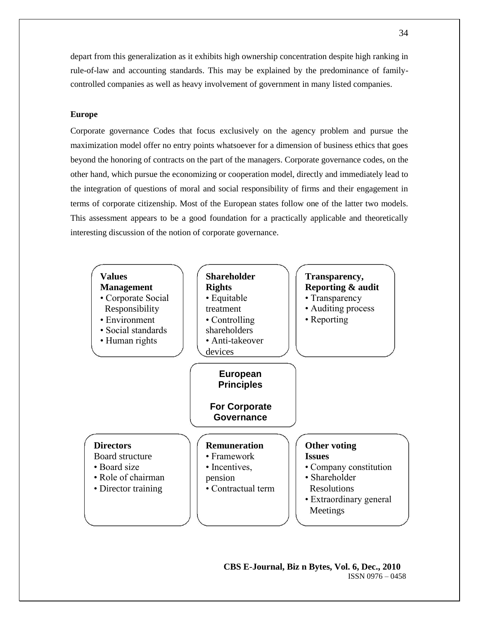depart from this generalization as it exhibits high ownership concentration despite high ranking in rule-of-law and accounting standards. This may be explained by the predominance of familycontrolled companies as well as heavy involvement of government in many listed companies.

## **Europe**

Corporate governance Codes that focus exclusively on the agency problem and pursue the maximization model offer no entry points whatsoever for a dimension of business ethics that goes beyond the honoring of contracts on the part of the managers. Corporate governance codes, on the other hand, which pursue the economizing or cooperation model, directly and immediately lead to the integration of questions of moral and social responsibility of firms and their engagement in terms of corporate citizenship. Most of the European states follow one of the latter two models. This assessment appears to be a good foundation for a practically applicable and theoretically interesting discussion of the notion of corporate governance.

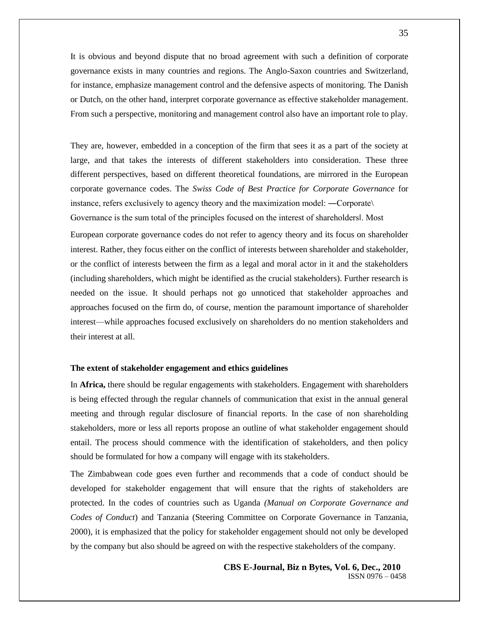It is obvious and beyond dispute that no broad agreement with such a definition of corporate governance exists in many countries and regions. The Anglo-Saxon countries and Switzerland, for instance, emphasize management control and the defensive aspects of monitoring. The Danish or Dutch, on the other hand, interpret corporate governance as effective stakeholder management. From such a perspective, monitoring and management control also have an important role to play.

They are, however, embedded in a conception of the firm that sees it as a part of the society at large, and that takes the interests of different stakeholders into consideration. These three different perspectives, based on different theoretical foundations, are mirrored in the European corporate governance codes. The *Swiss Code of Best Practice for Corporate Governance* for instance, refers exclusively to agency theory and the maximization model: ―Corporate\ Governance is the sum total of the principles focused on the interest of shareholders‖. Most European corporate governance codes do not refer to agency theory and its focus on shareholder interest. Rather, they focus either on the conflict of interests between shareholder and stakeholder, or the conflict of interests between the firm as a legal and moral actor in it and the stakeholders (including shareholders, which might be identified as the crucial stakeholders). Further research is needed on the issue. It should perhaps not go unnoticed that stakeholder approaches and approaches focused on the firm do, of course, mention the paramount importance of shareholder interest—while approaches focused exclusively on shareholders do no mention stakeholders and their interest at all.

#### **The extent of stakeholder engagement and ethics guidelines**

In **Africa,** there should be regular engagements with stakeholders. Engagement with shareholders is being effected through the regular channels of communication that exist in the annual general meeting and through regular disclosure of financial reports. In the case of non shareholding stakeholders, more or less all reports propose an outline of what stakeholder engagement should entail. The process should commence with the identification of stakeholders, and then policy should be formulated for how a company will engage with its stakeholders.

The Zimbabwean code goes even further and recommends that a code of conduct should be developed for stakeholder engagement that will ensure that the rights of stakeholders are protected. In the codes of countries such as Uganda *(Manual on Corporate Governance and Codes of Conduct*) and Tanzania (Steering Committee on Corporate Governance in Tanzania, 2000), it is emphasized that the policy for stakeholder engagement should not only be developed by the company but also should be agreed on with the respective stakeholders of the company.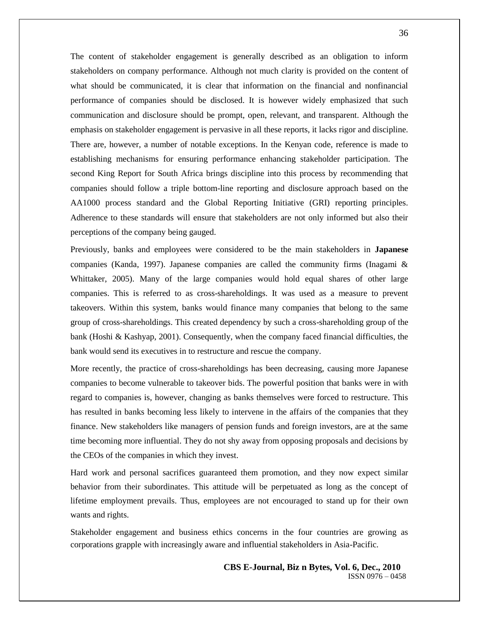The content of stakeholder engagement is generally described as an obligation to inform stakeholders on company performance. Although not much clarity is provided on the content of what should be communicated, it is clear that information on the financial and nonfinancial performance of companies should be disclosed. It is however widely emphasized that such communication and disclosure should be prompt, open, relevant, and transparent. Although the emphasis on stakeholder engagement is pervasive in all these reports, it lacks rigor and discipline. There are, however, a number of notable exceptions. In the Kenyan code, reference is made to establishing mechanisms for ensuring performance enhancing stakeholder participation. The second King Report for South Africa brings discipline into this process by recommending that companies should follow a triple bottom-line reporting and disclosure approach based on the AA1000 process standard and the Global Reporting Initiative (GRI) reporting principles. Adherence to these standards will ensure that stakeholders are not only informed but also their perceptions of the company being gauged.

Previously, banks and employees were considered to be the main stakeholders in **Japanese** companies (Kanda, 1997). Japanese companies are called the community firms (Inagami & Whittaker, 2005). Many of the large companies would hold equal shares of other large companies. This is referred to as cross-shareholdings. It was used as a measure to prevent takeovers. Within this system, banks would finance many companies that belong to the same group of cross-shareholdings. This created dependency by such a cross-shareholding group of the bank (Hoshi & Kashyap, 2001). Consequently, when the company faced financial difficulties, the bank would send its executives in to restructure and rescue the company.

More recently, the practice of cross-shareholdings has been decreasing, causing more Japanese companies to become vulnerable to takeover bids. The powerful position that banks were in with regard to companies is, however, changing as banks themselves were forced to restructure. This has resulted in banks becoming less likely to intervene in the affairs of the companies that they finance. New stakeholders like managers of pension funds and foreign investors, are at the same time becoming more influential. They do not shy away from opposing proposals and decisions by the CEOs of the companies in which they invest.

Hard work and personal sacrifices guaranteed them promotion, and they now expect similar behavior from their subordinates. This attitude will be perpetuated as long as the concept of lifetime employment prevails. Thus, employees are not encouraged to stand up for their own wants and rights.

Stakeholder engagement and business ethics concerns in the four countries are growing as corporations grapple with increasingly aware and influential stakeholders in Asia-Pacific.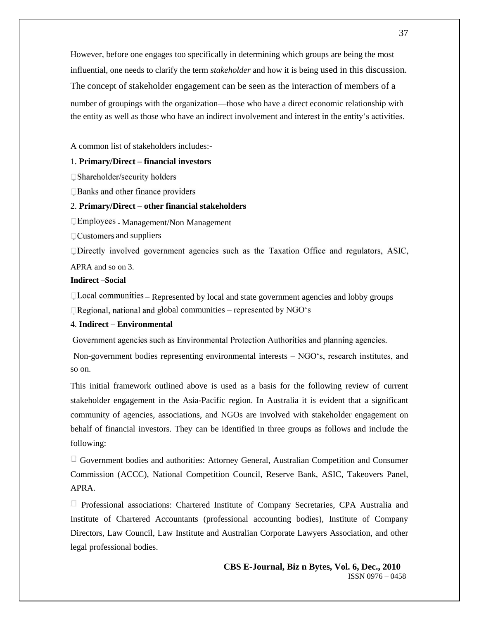However, before one engages too specifically in determining which groups are being the most influential, one needs to clarify the term *stakeholder* and how it is being used in this discussion. The concept of stakeholder engagement can be seen as the interaction of members of a number of groupings with the organization—those who have a direct economic relationship with the entity as well as those who have an indirect involvement and interest in the entity's activities.

A common list of stakeholders includes:-

#### 1. **Primary/Direct – financial investors**

□ Shareholder/security holders

**Example 3** Banks and other finance providers

#### 2. **Primary/Direct – other financial stakeholders**

**Employees - Management/Non Management** 

 $\Box$  Customers and suppliers

Directly involved government agencies such as the Taxation Office and regulators, ASIC, APRA and so on 3.

# **Indirect –Social**

 $\Box$  Local communities  $\Box$  Represented by local and state government agencies and lobby groups  $\Box$ Regional, national and global communities – represented by NGO's

## 4. **Indirect – Environmental**

Government agencies such as Environmental Protection Authorities and planning agencies.

Non-government bodies representing environmental interests – NGO's, research institutes, and so on.

This initial framework outlined above is used as a basis for the following review of current stakeholder engagement in the Asia-Pacific region. In Australia it is evident that a significant community of agencies, associations, and NGOs are involved with stakeholder engagement on behalf of financial investors. They can be identified in three groups as follows and include the following:

 $\Box$  Government bodies and authorities: Attorney General, Australian Competition and Consumer Commission (ACCC), National Competition Council, Reserve Bank, ASIC, Takeovers Panel, APRA.

Professional associations: Chartered Institute of Company Secretaries, CPA Australia and Institute of Chartered Accountants (professional accounting bodies), Institute of Company Directors, Law Council, Law Institute and Australian Corporate Lawyers Association, and other legal professional bodies.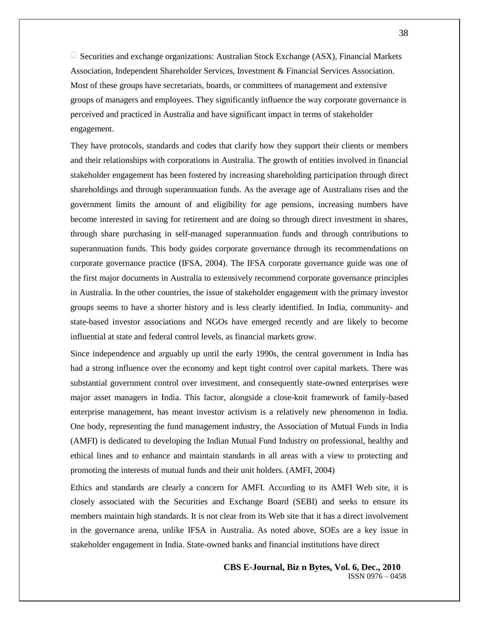$\Box$  Securities and exchange organizations: Australian Stock Exchange (ASX), Financial Markets Association, Independent Shareholder Services, Investment & Financial Services Association. Most of these groups have secretariats, boards, or committees of management and extensive groups of managers and employees. They significantly influence the way corporate governance is perceived and practiced in Australia and have significant impact in terms of stakeholder engagement.

They have protocols, standards and codes that clarify how they support their clients or members and their relationships with corporations in Australia. The growth of entities involved in financial stakeholder engagement has been fostered by increasing shareholding participation through direct shareholdings and through superannuation funds. As the average age of Australians rises and the government limits the amount of and eligibility for age pensions, increasing numbers have become interested in saving for retirement and are doing so through direct investment in shares, through share purchasing in self-managed superannuation funds and through contributions to superannuation funds. This body guides corporate governance through its recommendations on corporate governance practice (IFSA, 2004). The IFSA corporate governance guide was one of the first major documents in Australia to extensively recommend corporate governance principles in Australia. In the other countries, the issue of stakeholder engagement with the primary investor groups seems to have a shorter history and is less clearly identified. In India, community- and state-based investor associations and NGOs have emerged recently and are likely to become influential at state and federal control levels, as financial markets grow.

Since independence and arguably up until the early 1990s, the central government in India has had a strong influence over the economy and kept tight control over capital markets. There was substantial government control over investment, and consequently state-owned enterprises were major asset managers in India. This factor, alongside a close-knit framework of family-based enterprise management, has meant investor activism is a relatively new phenomenon in India. One body, representing the fund management industry, the Association of Mutual Funds in India (AMFI) is dedicated to developing the Indian Mutual Fund Industry on professional, healthy and ethical lines and to enhance and maintain standards in all areas with a view to protecting and promoting the interests of mutual funds and their unit holders. (AMFI, 2004)

Ethics and standards are clearly a concern for AMFI. According to its AMFI Web site, it is closely associated with the Securities and Exchange Board (SEBI) and seeks to ensure its members maintain high standards. It is not clear from its Web site that it has a direct involvement in the governance arena, unlike IFSA in Australia. As noted above, SOEs are a key issue in stakeholder engagement in India. State-owned banks and financial institutions have direct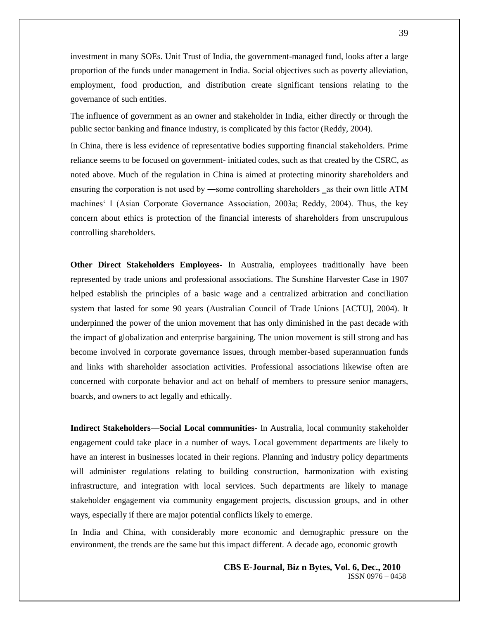investment in many SOEs. Unit Trust of India, the government-managed fund, looks after a large proportion of the funds under management in India. Social objectives such as poverty alleviation, employment, food production, and distribution create significant tensions relating to the governance of such entities.

The influence of government as an owner and stakeholder in India, either directly or through the public sector banking and finance industry, is complicated by this factor (Reddy, 2004).

In China, there is less evidence of representative bodies supporting financial stakeholders. Prime reliance seems to be focused on government- initiated codes, such as that created by the CSRC, as noted above. Much of the regulation in China is aimed at protecting minority shareholders and ensuring the corporation is not used by —some controlling shareholders \_as their own little ATM machines' ‖ (Asian Corporate Governance Association, 2003a; Reddy, 2004). Thus, the key concern about ethics is protection of the financial interests of shareholders from unscrupulous controlling shareholders.

**Other Direct Stakeholders Employees-** In Australia, employees traditionally have been represented by trade unions and professional associations. The Sunshine Harvester Case in 1907 helped establish the principles of a basic wage and a centralized arbitration and conciliation system that lasted for some 90 years (Australian Council of Trade Unions [ACTU], 2004). It underpinned the power of the union movement that has only diminished in the past decade with the impact of globalization and enterprise bargaining. The union movement is still strong and has become involved in corporate governance issues, through member-based superannuation funds and links with shareholder association activities. Professional associations likewise often are concerned with corporate behavior and act on behalf of members to pressure senior managers, boards, and owners to act legally and ethically.

**Indirect Stakeholders—Social Local communities-** In Australia, local community stakeholder engagement could take place in a number of ways. Local government departments are likely to have an interest in businesses located in their regions. Planning and industry policy departments will administer regulations relating to building construction, harmonization with existing infrastructure, and integration with local services. Such departments are likely to manage stakeholder engagement via community engagement projects, discussion groups, and in other ways, especially if there are major potential conflicts likely to emerge.

In India and China, with considerably more economic and demographic pressure on the environment, the trends are the same but this impact different. A decade ago, economic growth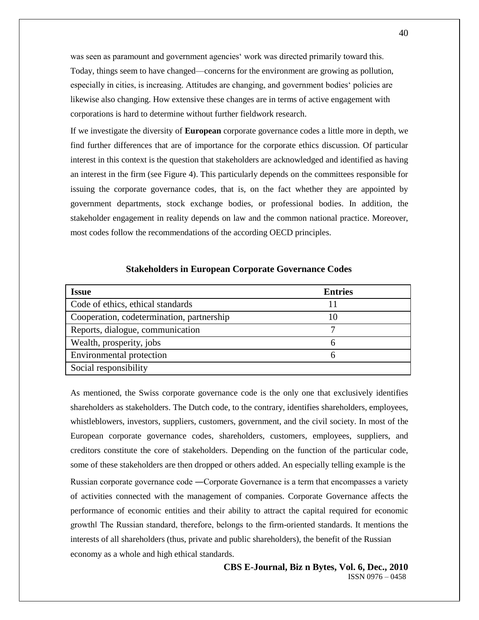was seen as paramount and government agencies' work was directed primarily toward this. Today, things seem to have changed—concerns for the environment are growing as pollution, especially in cities, is increasing. Attitudes are changing, and government bodies' policies are likewise also changing. How extensive these changes are in terms of active engagement with corporations is hard to determine without further fieldwork research.

If we investigate the diversity of **European** corporate governance codes a little more in depth, we find further differences that are of importance for the corporate ethics discussion. Of particular interest in this context is the question that stakeholders are acknowledged and identified as having an interest in the firm (see Figure 4). This particularly depends on the committees responsible for issuing the corporate governance codes, that is, on the fact whether they are appointed by government departments, stock exchange bodies, or professional bodies. In addition, the stakeholder engagement in reality depends on law and the common national practice. Moreover, most codes follow the recommendations of the according OECD principles.

| <i><b>Issue</b></i>                       | <b>Entries</b> |
|-------------------------------------------|----------------|
| Code of ethics, ethical standards         |                |
| Cooperation, codetermination, partnership | 10             |
| Reports, dialogue, communication          |                |
| Wealth, prosperity, jobs                  | h              |
| Environmental protection                  | h              |
| Social responsibility                     |                |

## **Stakeholders in European Corporate Governance Codes**

As mentioned, the Swiss corporate governance code is the only one that exclusively identifies shareholders as stakeholders. The Dutch code, to the contrary, identifies shareholders, employees, whistleblowers, investors, suppliers, customers, government, and the civil society. In most of the European corporate governance codes, shareholders, customers, employees, suppliers, and creditors constitute the core of stakeholders. Depending on the function of the particular code, some of these stakeholders are then dropped or others added. An especially telling example is the Russian corporate governance code ―Corporate Governance is a term that encompasses a variety of activities connected with the management of companies. Corporate Governance affects the performance of economic entities and their ability to attract the capital required for economic growth‖ The Russian standard, therefore, belongs to the firm-oriented standards. It mentions the interests of all shareholders (thus, private and public shareholders), the benefit of the Russian economy as a whole and high ethical standards.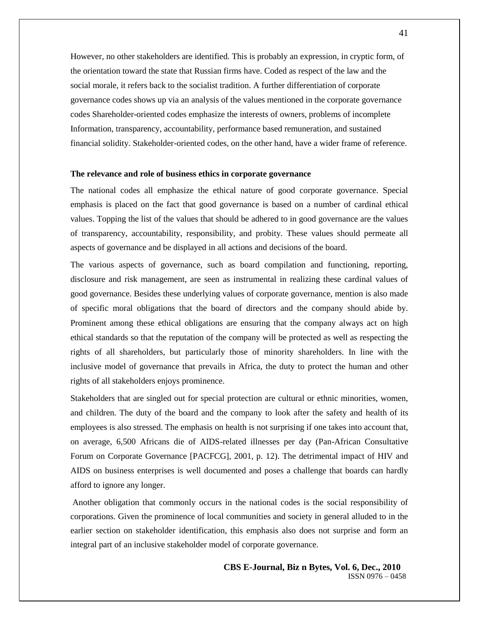However, no other stakeholders are identified. This is probably an expression, in cryptic form, of the orientation toward the state that Russian firms have. Coded as respect of the law and the social morale, it refers back to the socialist tradition. A further differentiation of corporate governance codes shows up via an analysis of the values mentioned in the corporate governance codes Shareholder-oriented codes emphasize the interests of owners, problems of incomplete Information, transparency, accountability, performance based remuneration, and sustained financial solidity. Stakeholder-oriented codes, on the other hand, have a wider frame of reference.

#### **The relevance and role of business ethics in corporate governance**

The national codes all emphasize the ethical nature of good corporate governance. Special emphasis is placed on the fact that good governance is based on a number of cardinal ethical values. Topping the list of the values that should be adhered to in good governance are the values of transparency, accountability, responsibility, and probity. These values should permeate all aspects of governance and be displayed in all actions and decisions of the board.

The various aspects of governance, such as board compilation and functioning, reporting, disclosure and risk management, are seen as instrumental in realizing these cardinal values of good governance. Besides these underlying values of corporate governance, mention is also made of specific moral obligations that the board of directors and the company should abide by. Prominent among these ethical obligations are ensuring that the company always act on high ethical standards so that the reputation of the company will be protected as well as respecting the rights of all shareholders, but particularly those of minority shareholders. In line with the inclusive model of governance that prevails in Africa, the duty to protect the human and other rights of all stakeholders enjoys prominence.

Stakeholders that are singled out for special protection are cultural or ethnic minorities, women, and children. The duty of the board and the company to look after the safety and health of its employees is also stressed. The emphasis on health is not surprising if one takes into account that, on average, 6,500 Africans die of AIDS-related illnesses per day (Pan-African Consultative Forum on Corporate Governance [PACFCG], 2001, p. 12). The detrimental impact of HIV and AIDS on business enterprises is well documented and poses a challenge that boards can hardly afford to ignore any longer.

Another obligation that commonly occurs in the national codes is the social responsibility of corporations. Given the prominence of local communities and society in general alluded to in the earlier section on stakeholder identification, this emphasis also does not surprise and form an integral part of an inclusive stakeholder model of corporate governance.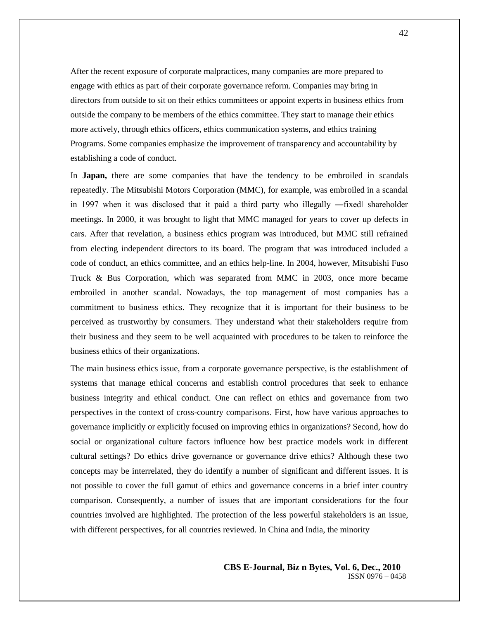After the recent exposure of corporate malpractices, many companies are more prepared to engage with ethics as part of their corporate governance reform. Companies may bring in directors from outside to sit on their ethics committees or appoint experts in business ethics from outside the company to be members of the ethics committee. They start to manage their ethics more actively, through ethics officers, ethics communication systems, and ethics training Programs. Some companies emphasize the improvement of transparency and accountability by establishing a code of conduct.

In **Japan,** there are some companies that have the tendency to be embroiled in scandals repeatedly. The Mitsubishi Motors Corporation (MMC), for example, was embroiled in a scandal in 1997 when it was disclosed that it paid a third party who illegally —fixed shareholder meetings. In 2000, it was brought to light that MMC managed for years to cover up defects in cars. After that revelation, a business ethics program was introduced, but MMC still refrained from electing independent directors to its board. The program that was introduced included a code of conduct, an ethics committee, and an ethics help-line. In 2004, however, Mitsubishi Fuso Truck & Bus Corporation, which was separated from MMC in 2003, once more became embroiled in another scandal. Nowadays, the top management of most companies has a commitment to business ethics. They recognize that it is important for their business to be perceived as trustworthy by consumers. They understand what their stakeholders require from their business and they seem to be well acquainted with procedures to be taken to reinforce the business ethics of their organizations.

The main business ethics issue, from a corporate governance perspective, is the establishment of systems that manage ethical concerns and establish control procedures that seek to enhance business integrity and ethical conduct. One can reflect on ethics and governance from two perspectives in the context of cross-country comparisons. First, how have various approaches to governance implicitly or explicitly focused on improving ethics in organizations? Second, how do social or organizational culture factors influence how best practice models work in different cultural settings? Do ethics drive governance or governance drive ethics? Although these two concepts may be interrelated, they do identify a number of significant and different issues. It is not possible to cover the full gamut of ethics and governance concerns in a brief inter country comparison. Consequently, a number of issues that are important considerations for the four countries involved are highlighted. The protection of the less powerful stakeholders is an issue, with different perspectives, for all countries reviewed. In China and India, the minority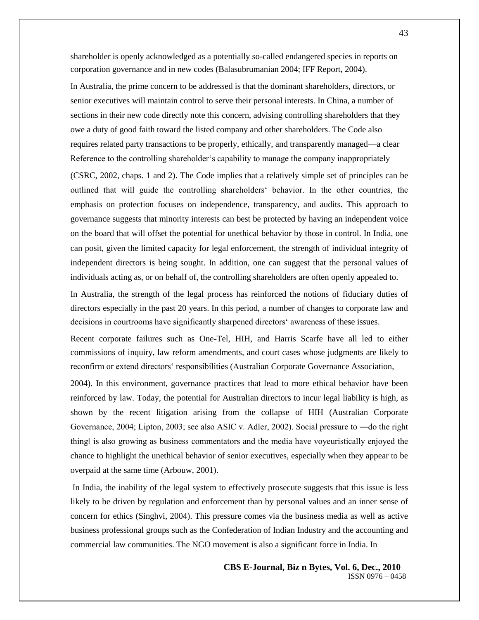shareholder is openly acknowledged as a potentially so-called endangered species in reports on corporation governance and in new codes (Balasubrumanian 2004; IFF Report, 2004).

In Australia, the prime concern to be addressed is that the dominant shareholders, directors, or senior executives will maintain control to serve their personal interests. In China, a number of sections in their new code directly note this concern, advising controlling shareholders that they owe a duty of good faith toward the listed company and other shareholders. The Code also requires related party transactions to be properly, ethically, and transparently managed—a clear Reference to the controlling shareholder's capability to manage the company inappropriately

(CSRC, 2002, chaps. 1 and 2). The Code implies that a relatively simple set of principles can be outlined that will guide the controlling shareholders' behavior. In the other countries, the emphasis on protection focuses on independence, transparency, and audits. This approach to governance suggests that minority interests can best be protected by having an independent voice on the board that will offset the potential for unethical behavior by those in control. In India, one can posit, given the limited capacity for legal enforcement, the strength of individual integrity of independent directors is being sought. In addition, one can suggest that the personal values of individuals acting as, or on behalf of, the controlling shareholders are often openly appealed to.

In Australia, the strength of the legal process has reinforced the notions of fiduciary duties of directors especially in the past 20 years. In this period, a number of changes to corporate law and decisions in courtrooms have significantly sharpened directors' awareness of these issues.

Recent corporate failures such as One-Tel, HIH, and Harris Scarfe have all led to either commissions of inquiry, law reform amendments, and court cases whose judgments are likely to reconfirm or extend directors' responsibilities (Australian Corporate Governance Association,

2004). In this environment, governance practices that lead to more ethical behavior have been reinforced by law. Today, the potential for Australian directors to incur legal liability is high, as shown by the recent litigation arising from the collapse of HIH (Australian Corporate Governance, 2004; Lipton, 2003; see also ASIC v. Adler, 2002). Social pressure to —do the right thing‖ is also growing as business commentators and the media have voyeuristically enjoyed the chance to highlight the unethical behavior of senior executives, especially when they appear to be overpaid at the same time (Arbouw, 2001).

In India, the inability of the legal system to effectively prosecute suggests that this issue is less likely to be driven by regulation and enforcement than by personal values and an inner sense of concern for ethics (Singhvi, 2004). This pressure comes via the business media as well as active business professional groups such as the Confederation of Indian Industry and the accounting and commercial law communities. The NGO movement is also a significant force in India. In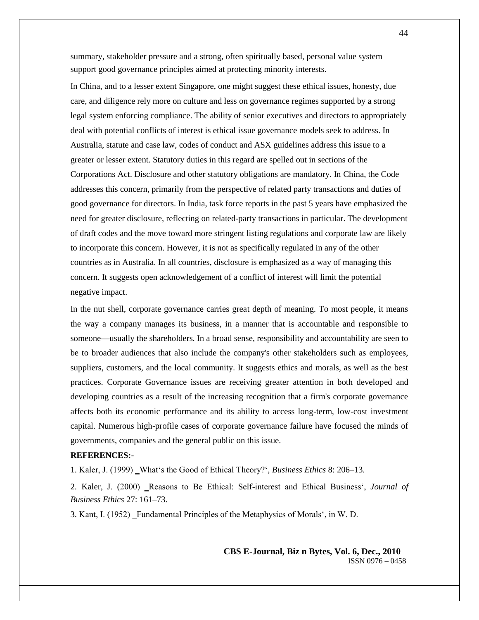summary, stakeholder pressure and a strong, often spiritually based, personal value system support good governance principles aimed at protecting minority interests.

In China, and to a lesser extent Singapore, one might suggest these ethical issues, honesty, due care, and diligence rely more on culture and less on governance regimes supported by a strong legal system enforcing compliance. The ability of senior executives and directors to appropriately deal with potential conflicts of interest is ethical issue governance models seek to address. In Australia, statute and case law, codes of conduct and ASX guidelines address this issue to a greater or lesser extent. Statutory duties in this regard are spelled out in sections of the Corporations Act. Disclosure and other statutory obligations are mandatory. In China, the Code addresses this concern, primarily from the perspective of related party transactions and duties of good governance for directors. In India, task force reports in the past 5 years have emphasized the need for greater disclosure, reflecting on related-party transactions in particular. The development of draft codes and the move toward more stringent listing regulations and corporate law are likely to incorporate this concern. However, it is not as specifically regulated in any of the other countries as in Australia. In all countries, disclosure is emphasized as a way of managing this concern. It suggests open acknowledgement of a conflict of interest will limit the potential negative impact.

In the nut shell, corporate governance carries great depth of meaning. To most people, it means the way a company manages its business, in a manner that is accountable and responsible to someone—usually the shareholders. In a broad sense, responsibility and accountability are seen to be to broader audiences that also include the company's other stakeholders such as employees, suppliers, customers, and the local community. It suggests ethics and morals, as well as the best practices. Corporate Governance issues are receiving greater attention in both developed and developing countries as a result of the increasing recognition that a firm's corporate governance affects both its economic performance and its ability to access long-term, low-cost investment capital. Numerous high-profile cases of corporate governance failure have focused the minds of governments, companies and the general public on this issue.

#### **REFERENCES:-**

1. Kaler, J. (1999) ‗What's the Good of Ethical Theory?', *Business Ethics* 8: 206–13.

2. Kaler, J. (2000) ‗Reasons to Be Ethical: Self-interest and Ethical Business', *Journal of Business Ethics* 27: 161–73.

3. Kant, I. (1952) ‗Fundamental Principles of the Metaphysics of Morals', in W. D.